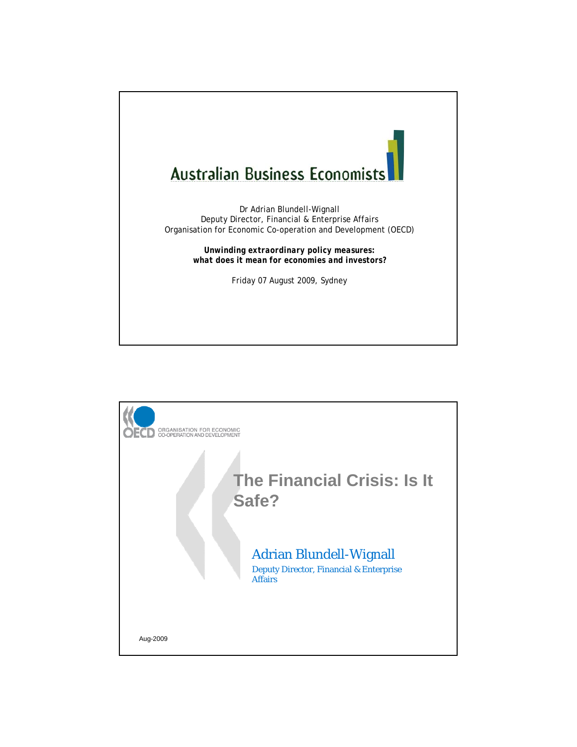

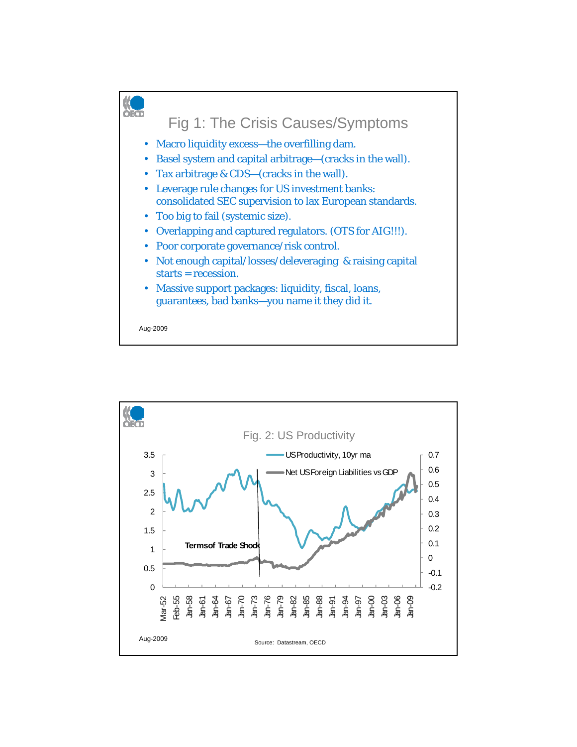

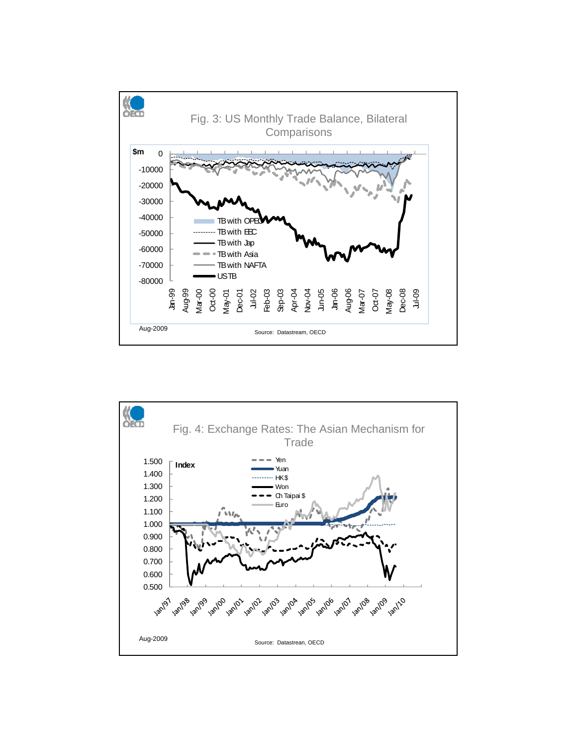

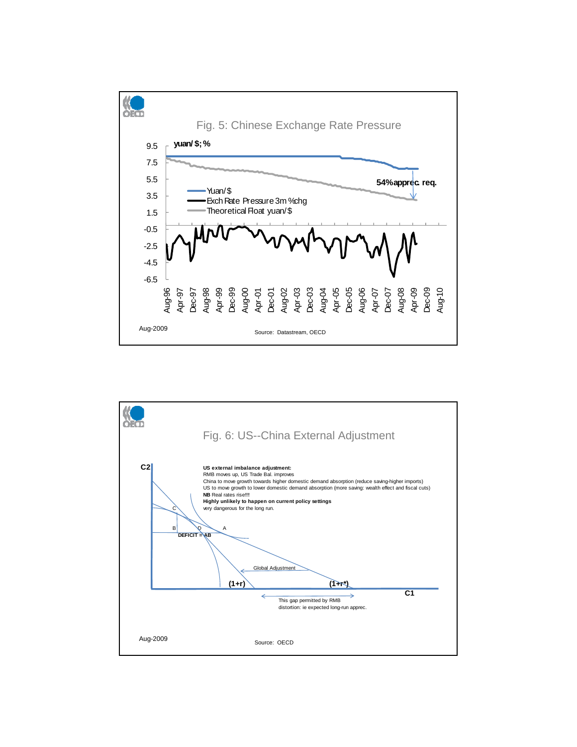

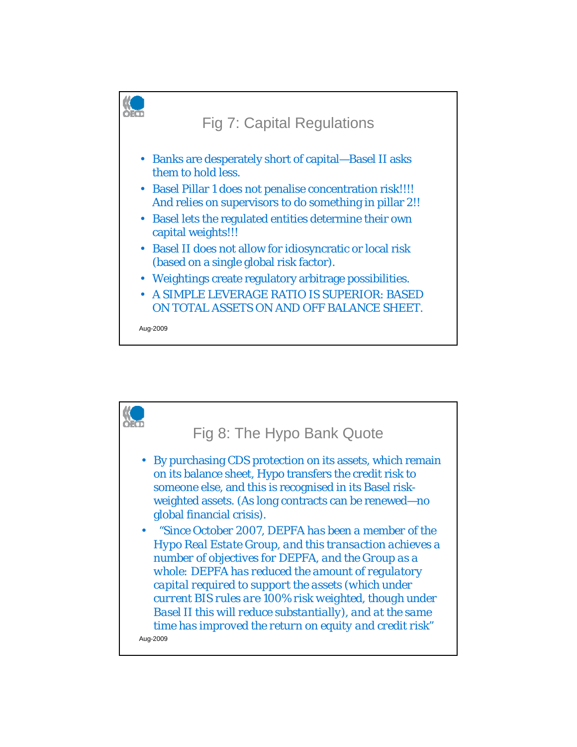

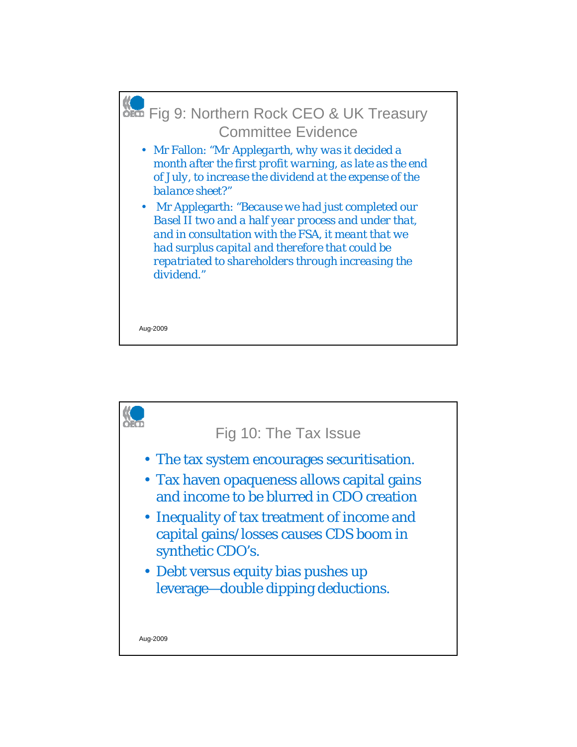

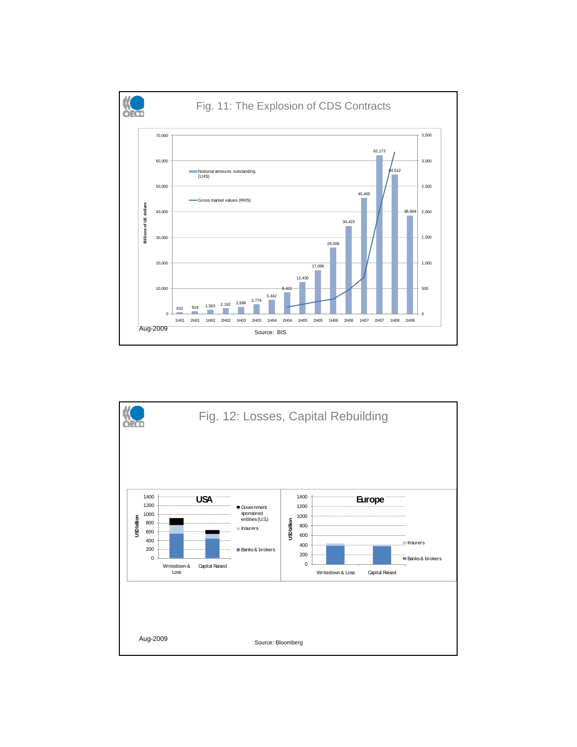

![](_page_6_Figure_1.jpeg)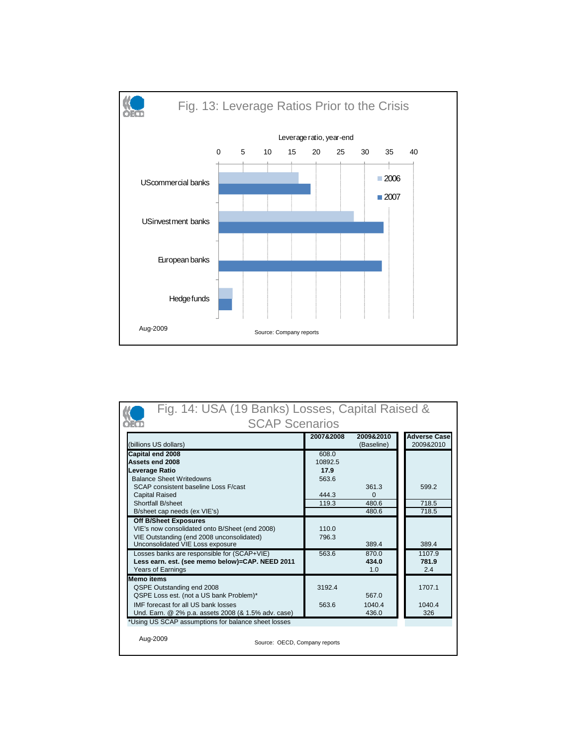![](_page_7_Figure_0.jpeg)

| Fig. 14: USA (19 Banks) Losses, Capital Raised &                                                  |         |                |                |  |  |  |  |  |  |
|---------------------------------------------------------------------------------------------------|---------|----------------|----------------|--|--|--|--|--|--|
| <b>SCAP Scenarios</b>                                                                             |         |                |                |  |  |  |  |  |  |
| 2009&2010<br><b>Adverse Case</b><br>2007&2008<br>2009&2010<br>(billions US dollars)<br>(Baseline) |         |                |                |  |  |  |  |  |  |
| Capital end 2008                                                                                  | 608.0   |                |                |  |  |  |  |  |  |
| Assets end 2008                                                                                   | 10892.5 |                |                |  |  |  |  |  |  |
| Leverage Ratio                                                                                    | 17.9    |                |                |  |  |  |  |  |  |
| <b>Balance Sheet Writedowns</b>                                                                   | 563.6   |                |                |  |  |  |  |  |  |
| SCAP consistent baseline Loss F/cast                                                              |         | 361.3          | 599.2          |  |  |  |  |  |  |
| <b>Capital Raised</b>                                                                             | 444.3   | $\Omega$       |                |  |  |  |  |  |  |
| Shortfall B/sheet<br>B/sheet cap needs (ex VIE's)                                                 | 119.3   | 480.6<br>480.6 | 718.5<br>718.5 |  |  |  |  |  |  |
| <b>Off B/Sheet Exposures</b>                                                                      |         |                |                |  |  |  |  |  |  |
| VIE's now consolidated onto B/Sheet (end 2008)                                                    | 110.0   |                |                |  |  |  |  |  |  |
| VIE Outstanding (end 2008 unconsolidated)                                                         | 796.3   |                |                |  |  |  |  |  |  |
| Unconsolidated VIE Loss exposure                                                                  |         | 389.4          | 389.4          |  |  |  |  |  |  |
| Losses banks are responsible for (SCAP+VIE)                                                       | 563.6   | 870.0          | 1107.9         |  |  |  |  |  |  |
| Less earn. est. (see memo below)=CAP. NEED 2011                                                   |         | 434.0          | 781.9          |  |  |  |  |  |  |
| <b>Years of Earnings</b>                                                                          |         | 1.0            | 2.4            |  |  |  |  |  |  |
| <b>Memo items</b><br>QSPE Outstanding end 2008                                                    | 3192.4  |                | 1707.1         |  |  |  |  |  |  |
| QSPE Loss est. (not a US bank Problem)*                                                           |         | 567.0          |                |  |  |  |  |  |  |
| IMF forecast for all US bank losses                                                               | 563.6   | 1040.4         | 1040.4         |  |  |  |  |  |  |
| Und. Earn. @ 2% p.a. assets 2008 (& 1.5% adv. case)                                               |         | 436.0          | 326            |  |  |  |  |  |  |
| *Using US SCAP assumptions for balance sheet losses                                               |         |                |                |  |  |  |  |  |  |
|                                                                                                   |         |                |                |  |  |  |  |  |  |
| Aug-2009<br>Source: OECD, Company reports                                                         |         |                |                |  |  |  |  |  |  |
|                                                                                                   |         |                |                |  |  |  |  |  |  |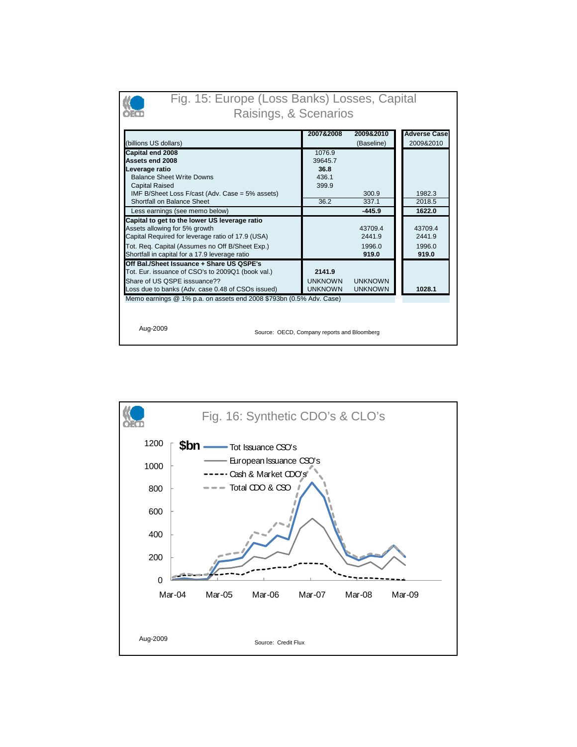| Fig. 15: Europe (Loss Banks) Losses, Capital<br>Raisings, & Scenarios                                                                                                                                                                                      |                                            |                                      |                                      |  |  |  |  |
|------------------------------------------------------------------------------------------------------------------------------------------------------------------------------------------------------------------------------------------------------------|--------------------------------------------|--------------------------------------|--------------------------------------|--|--|--|--|
| (billions US dollars)                                                                                                                                                                                                                                      | 2007&2008                                  | 2009&2010<br>(Baseline)              | <b>Adverse Case</b><br>2009&2010     |  |  |  |  |
| Capital end 2008<br>Assets end 2008<br>Leverage ratio<br><b>Balance Sheet Write Downs</b>                                                                                                                                                                  | 1076.9<br>39645.7<br>36.8<br>436.1         |                                      |                                      |  |  |  |  |
| <b>Capital Raised</b><br>IMF B/Sheet Loss F/cast (Adv. Case = 5% assets)<br>Shortfall on Balance Sheet<br>Less earnings (see memo below)                                                                                                                   | 399.9<br>36.2                              | 300.9<br>337.1<br>$-445.9$           | 1982.3<br>2018.5<br>1622.0           |  |  |  |  |
| Capital to get to the lower US leverage ratio<br>Assets allowing for 5% growth<br>Capital Required for leverage ratio of 17.9 (USA)<br>Tot. Req. Capital (Assumes no Off B/Sheet Exp.)<br>Shortfall in capital for a 17.9 leverage ratio                   |                                            | 43709.4<br>2441.9<br>1996.0<br>919.0 | 43709.4<br>2441.9<br>1996.0<br>919.0 |  |  |  |  |
| Off Bal./Sheet Issuance + Share US QSPE's<br>Tot. Eur. issuance of CSO's to 2009Q1 (book val.)<br>Share of US OSPE isssuance??<br>Loss due to banks (Adv. case 0.48 of CSOs issued)<br>Memo earnings @ 1% p.a. on assets end 2008 \$793bn (0.5% Adv. Case) | 2141.9<br><b>UNKNOWN</b><br><b>UNKNOWN</b> | <b>UNKNOWN</b><br><b>UNKNOWN</b>     | 1028.1                               |  |  |  |  |
| Aug-2009<br>Source: OECD, Company reports and Bloomberg                                                                                                                                                                                                    |                                            |                                      |                                      |  |  |  |  |

![](_page_8_Figure_1.jpeg)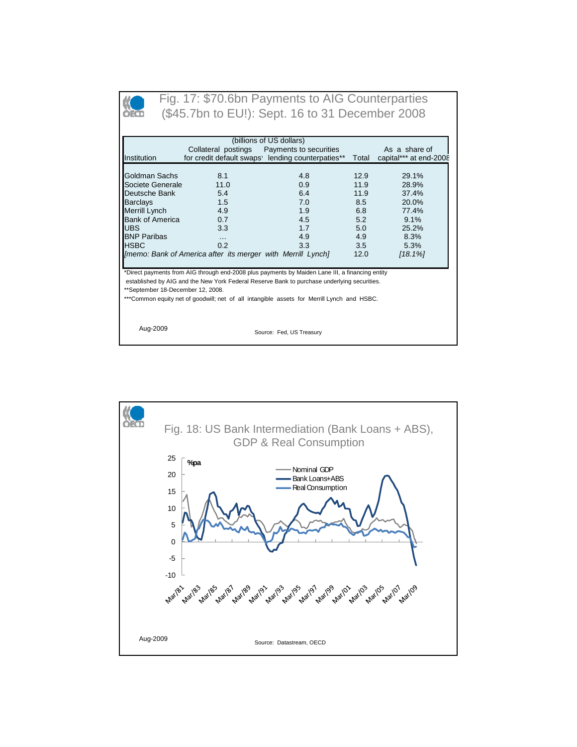![](_page_9_Picture_0.jpeg)

## Fig. 17: \$70.6bn Payments to AIG Counterparties (\$45.7bn to EU!): Sept. 16 to 31 December 2008

| (billions of US dollars)<br>Collateral postings<br>Payments to securities<br>As a share of |          |                                                  |       |                        |  |  |  |
|--------------------------------------------------------------------------------------------|----------|--------------------------------------------------|-------|------------------------|--|--|--|
| Institution                                                                                |          | for credit default swaps lending counterpaties** | Total | capital*** at end-2008 |  |  |  |
|                                                                                            |          |                                                  |       |                        |  |  |  |
| Goldman Sachs                                                                              | 8.1      | 4.8                                              | 12.9  | 29.1%                  |  |  |  |
| Societe Generale                                                                           | 11.0     | 0.9                                              | 11.9  | 28.9%                  |  |  |  |
| Deutsche Bank                                                                              | 5.4      | 6.4                                              | 11.9  | 37.4%                  |  |  |  |
| <b>Barclays</b>                                                                            | 1.5      | 7.0                                              | 8.5   | 20.0%                  |  |  |  |
| Merrill Lynch                                                                              | 4.9      | 1.9                                              | 6.8   | 77.4%                  |  |  |  |
| <b>Bank of America</b>                                                                     | 0.7      | 4.5                                              | 5.2   | 9.1%                   |  |  |  |
| <b>UBS</b>                                                                                 | 3.3      | 1.7                                              | 5.0   | 25.2%                  |  |  |  |
| <b>BNP Paribas</b>                                                                         | $\cdots$ | 4.9                                              | 4.9   | 8.3%                   |  |  |  |
| <b>HSBC</b>                                                                                | 0.2      | 3.3                                              | 3.5   | 5.3%                   |  |  |  |
| [memo: Bank of America after its merger with Merrill Lynch]<br>$[18.1\%]$<br>12.0          |          |                                                  |       |                        |  |  |  |

\*Direct payments from AIG through end-2008 plus payments by Maiden Lane III, a financing entity

 established by AIG and the New York Federal Reserve Bank to purchase underlying securities. \*\*September 18-December 12, 2008.

\*\*\*Common equity net of goodwill; net of all intangible assets for Merrill Lynch and HSBC.

Aug-2009 Source: Fed, US Treasury

![](_page_9_Figure_8.jpeg)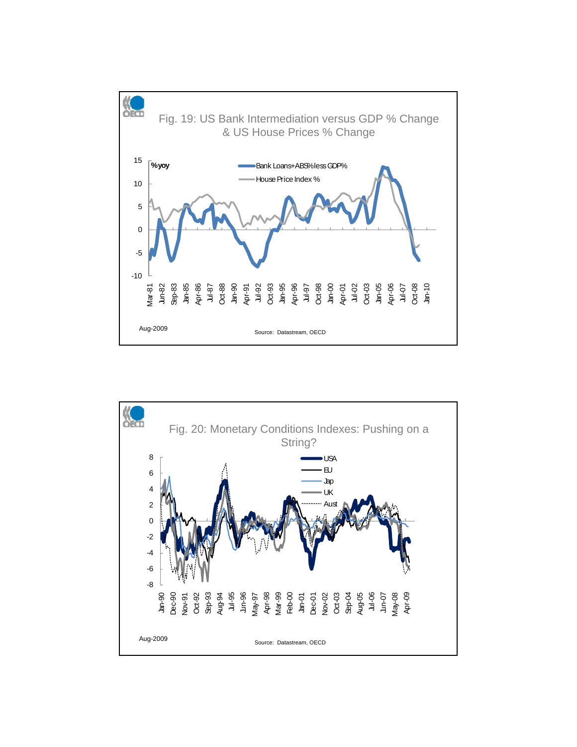![](_page_10_Figure_0.jpeg)

![](_page_10_Figure_1.jpeg)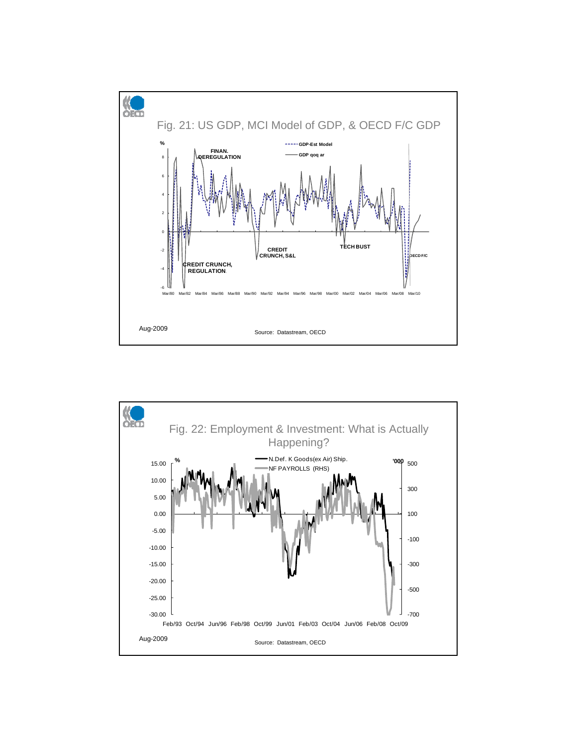![](_page_11_Figure_0.jpeg)

![](_page_11_Figure_1.jpeg)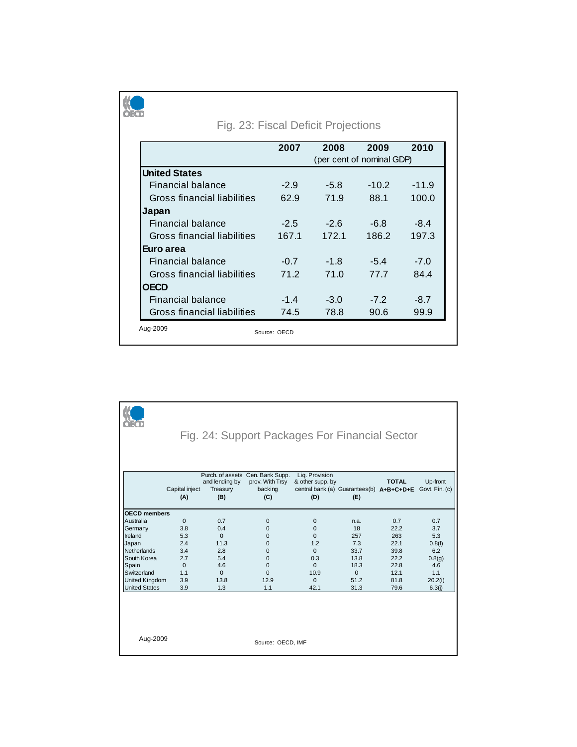| Fig. 23: Fiscal Deficit Projections |        |        |                           |         |  |  |  |  |  |
|-------------------------------------|--------|--------|---------------------------|---------|--|--|--|--|--|
| 2009<br>2010<br>2007<br>2008        |        |        |                           |         |  |  |  |  |  |
|                                     |        |        | (per cent of nominal GDP) |         |  |  |  |  |  |
| <b>United States</b>                |        |        |                           |         |  |  |  |  |  |
| Financial balance                   | $-2.9$ | $-5.8$ | $-10.2$                   | $-11.9$ |  |  |  |  |  |
| Gross financial liabilities         | 62.9   | 71.9   | 88.1                      | 100.0   |  |  |  |  |  |
| Japan                               |        |        |                           |         |  |  |  |  |  |
| Financial balance                   | $-2.5$ | $-2.6$ | $-6.8$                    | $-8.4$  |  |  |  |  |  |
| Gross financial liabilities         | 167.1  | 172.1  | 186.2                     | 197.3   |  |  |  |  |  |
| Euro area                           |        |        |                           |         |  |  |  |  |  |
| Financial balance                   | $-0.7$ | $-1.8$ | $-5.4$                    | $-7.0$  |  |  |  |  |  |
| Gross financial liabilities         | 71.2   | 71.0   | 77.7                      | 844     |  |  |  |  |  |
| <b>OECD</b>                         |        |        |                           |         |  |  |  |  |  |
| Financial balance                   | $-1.4$ | $-3.0$ | $-7.2$                    | $-8.7$  |  |  |  |  |  |
| Gross financial liabilities         | 74.5   | 78.8   | 90.6                      | 99.9    |  |  |  |  |  |

| Fig. 24: Support Packages For Financial Sector                                                                                                                         |                                                                                    |                                                                                |                                                                                                                      |                                                                                                       |                                                                              |                                                                            |                                                                                 |  |
|------------------------------------------------------------------------------------------------------------------------------------------------------------------------|------------------------------------------------------------------------------------|--------------------------------------------------------------------------------|----------------------------------------------------------------------------------------------------------------------|-------------------------------------------------------------------------------------------------------|------------------------------------------------------------------------------|----------------------------------------------------------------------------|---------------------------------------------------------------------------------|--|
|                                                                                                                                                                        | Capital inject<br>(A)                                                              | and lending by<br>Treasury<br>(B)                                              | Purch. of assets Cen. Bank Supp.<br>prov. With Trsy<br>backing<br>(C)                                                | Lig. Provision<br>& other supp. by<br>central bank (a) Guarantees(b) A+B+C+D+E<br>(D)                 | (E)                                                                          | <b>TOTAL</b>                                                               | Up-front<br>Govt. Fin. (c)                                                      |  |
| <b>OECD</b> members<br>Australia<br>Germany<br>Ireland<br>Japan<br>Netherlands<br>South Korea<br>Spain<br>Switzerland<br><b>United Kingdom</b><br><b>United States</b> | $\mathbf 0$<br>3.8<br>5.3<br>2.4<br>3.4<br>2.7<br>$\mathbf 0$<br>1.1<br>3.9<br>3.9 | 0.7<br>0.4<br>$\Omega$<br>11.3<br>2.8<br>5.4<br>4.6<br>$\Omega$<br>13.8<br>1.3 | $\Omega$<br>$\Omega$<br>$\mathbf 0$<br>$\mathbf 0$<br>$\mathbf 0$<br>$\Omega$<br>$\Omega$<br>$\Omega$<br>12.9<br>1.1 | $\mathbf 0$<br>$\Omega$<br>$\Omega$<br>1.2<br>$\Omega$<br>0.3<br>$\Omega$<br>10.9<br>$\Omega$<br>42.1 | n.a.<br>18<br>257<br>7.3<br>33.7<br>13.8<br>18.3<br>$\Omega$<br>51.2<br>31.3 | 0.7<br>22.2<br>263<br>22.1<br>39.8<br>22.2<br>22.8<br>12.1<br>81.8<br>79.6 | 0.7<br>3.7<br>5.3<br>0.8(f)<br>6.2<br>0.8(g)<br>4.6<br>1.1<br>20.2(i)<br>6.3(i) |  |
| Aug-2009                                                                                                                                                               |                                                                                    |                                                                                | Source: OECD, IMF                                                                                                    |                                                                                                       |                                                                              |                                                                            |                                                                                 |  |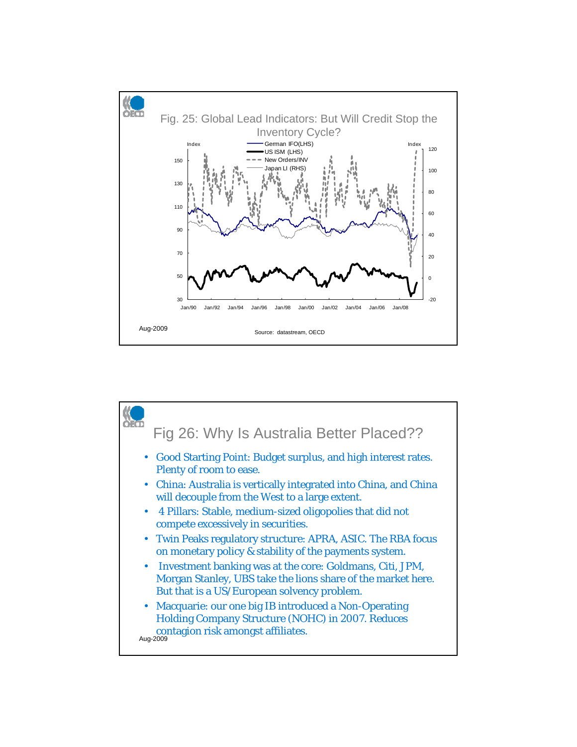![](_page_13_Figure_0.jpeg)

![](_page_13_Figure_1.jpeg)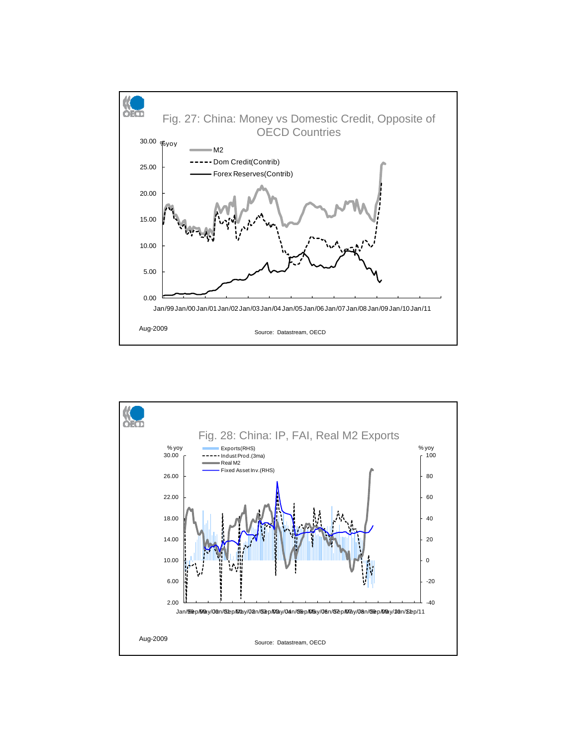![](_page_14_Figure_0.jpeg)

![](_page_14_Figure_1.jpeg)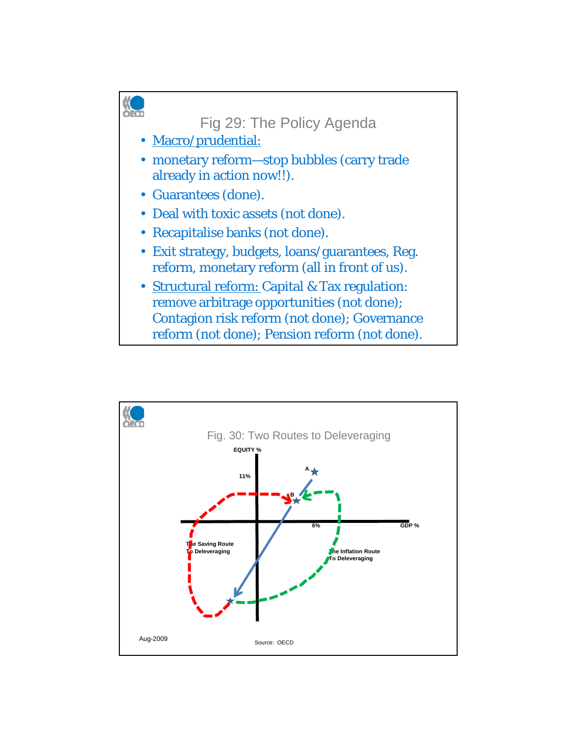![](_page_15_Figure_0.jpeg)

![](_page_15_Figure_1.jpeg)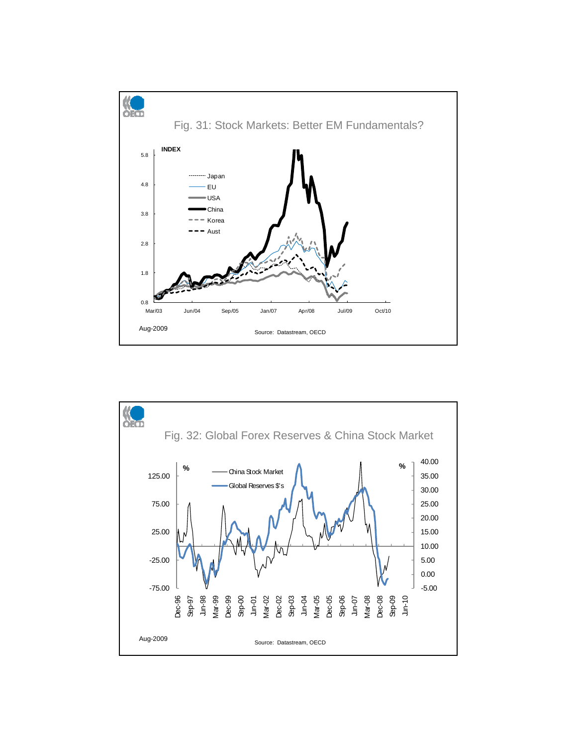![](_page_16_Figure_0.jpeg)

![](_page_16_Figure_1.jpeg)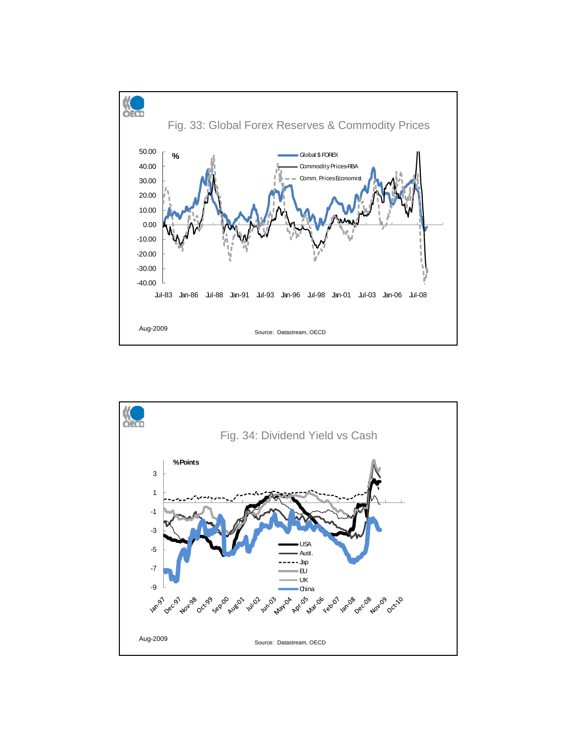![](_page_17_Figure_0.jpeg)

![](_page_17_Figure_1.jpeg)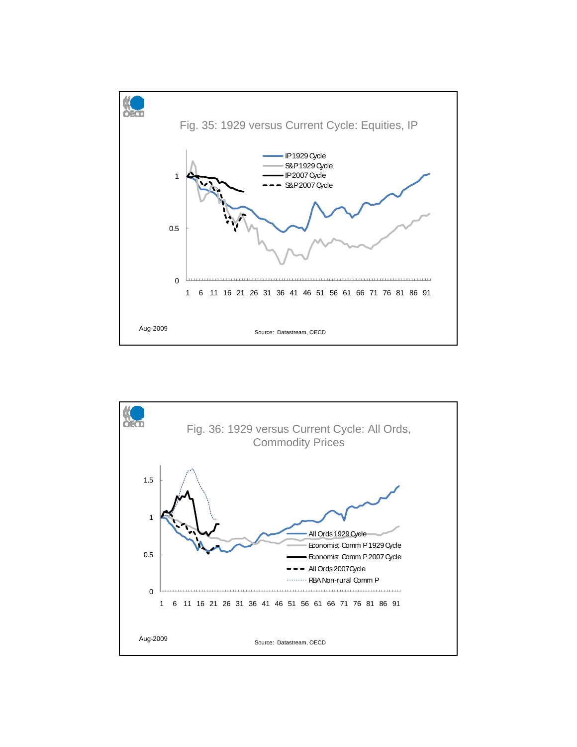![](_page_18_Figure_0.jpeg)

![](_page_18_Figure_1.jpeg)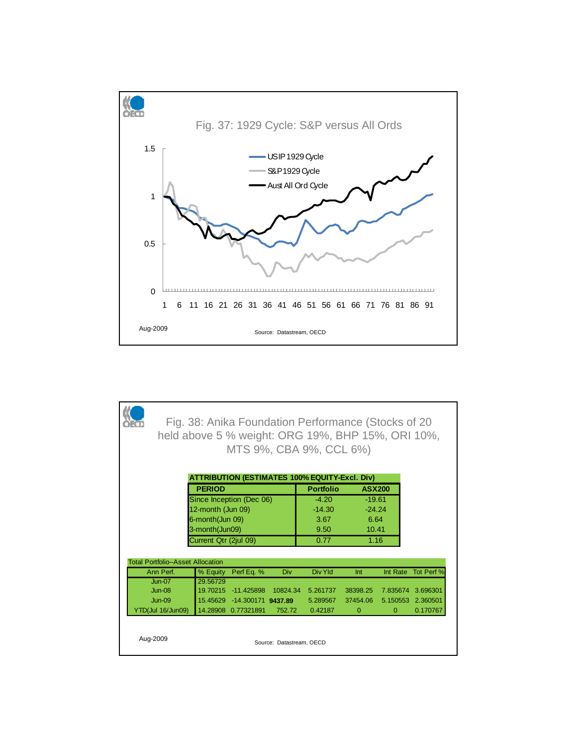![](_page_19_Figure_0.jpeg)

| Fig. 38: Anika Foundation Performance (Stocks of 20<br>held above 5 % weight: ORG 19%, BHP 15%, ORI 10%,<br>MTS 9%, CBA 9%, CCL 6%) |                                          |                   |                             |                          |                                                      |               |              |            |  |
|-------------------------------------------------------------------------------------------------------------------------------------|------------------------------------------|-------------------|-----------------------------|--------------------------|------------------------------------------------------|---------------|--------------|------------|--|
|                                                                                                                                     |                                          |                   |                             |                          | <b>ATTRIBUTION (ESTIMATES 100% EQUITY-Excl. Div)</b> |               |              |            |  |
|                                                                                                                                     |                                          | <b>PERIOD</b>     |                             |                          | <b>Portfolio</b>                                     | <b>ASX200</b> |              |            |  |
|                                                                                                                                     |                                          |                   | Since Inception (Dec 06)    |                          | $-4.20$                                              | $-19.61$      |              |            |  |
|                                                                                                                                     |                                          | 12-month (Jun 09) |                             |                          | $-14.30$                                             | $-24.24$      |              |            |  |
|                                                                                                                                     |                                          | 6-month(Jun 09)   |                             |                          | 3.67                                                 | 6.64          |              |            |  |
|                                                                                                                                     |                                          | 3-month(Jun09)    |                             |                          | 9.50                                                 | 10.41         |              |            |  |
|                                                                                                                                     | Current Qtr (2jul 09)                    |                   |                             |                          |                                                      | 1.16          |              |            |  |
|                                                                                                                                     | <b>Total Portfolio--Asset Allocation</b> |                   |                             |                          |                                                      |               |              |            |  |
|                                                                                                                                     | Ann Perf.                                | % Equity          | Perf Eq. %                  | Div                      | Div Yld                                              | Int           | Int Rate     | Tot Perf % |  |
|                                                                                                                                     | $Jun-07$                                 | 29.56729          |                             |                          |                                                      |               |              |            |  |
|                                                                                                                                     | $Jun-08$                                 |                   | 19.70215 -11.425898         | 10824.34                 | 5.261737                                             | 38398.25      | 7.835674     | 3.696301   |  |
|                                                                                                                                     | $Jun-09$                                 |                   | 15.45629 -14.300171 9437.89 |                          | 5.289567                                             | 37454.06      | 5.150553     | 2.360501   |  |
|                                                                                                                                     | YTD(Jul 16/Jun09)                        |                   | 14.28908 0.77321891         | 752.72                   | 0.42187                                              | $\mathbf{0}$  | $\mathbf{0}$ | 0.170767   |  |
| Aug-2009                                                                                                                            |                                          |                   |                             | Source: Datastream, OECD |                                                      |               |              |            |  |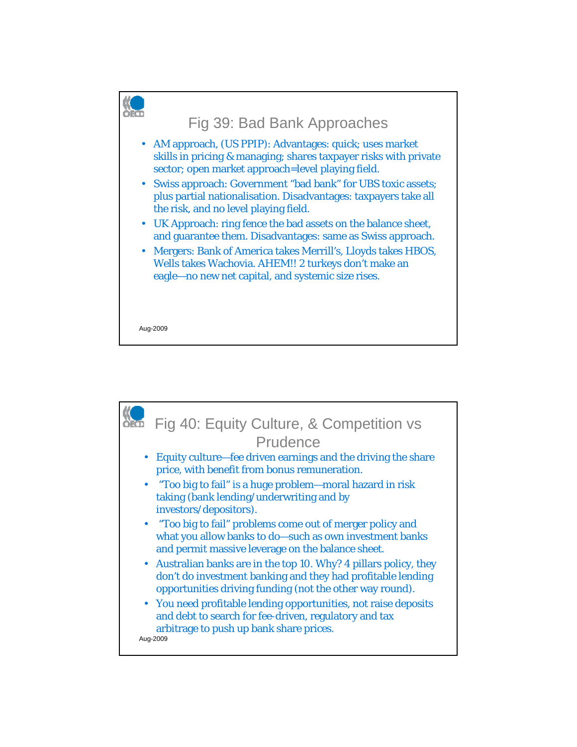![](_page_20_Figure_0.jpeg)

![](_page_20_Picture_1.jpeg)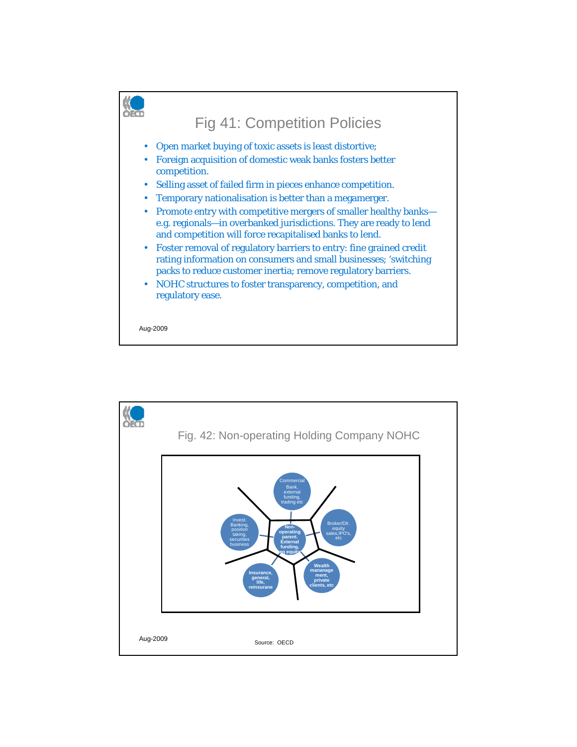![](_page_21_Figure_0.jpeg)

![](_page_21_Figure_1.jpeg)